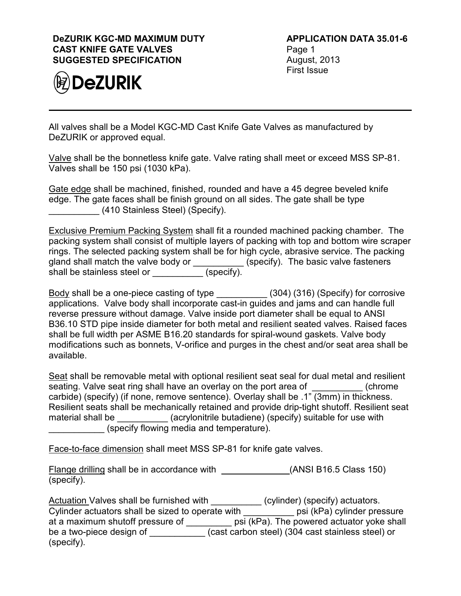## **DeZURIK KGC-MD MAXIMUM DUTY CAST KNIFE GATE VALVES SUGGESTED SPECIFICATION**



**APPLICATION DATA 35.01-6** Page 1 August, 2013 First Issue

All valves shall be a Model KGC-MD Cast Knife Gate Valves as manufactured by DeZURIK or approved equal.

Valve shall be the bonnetless knife gate. Valve rating shall meet or exceed MSS SP-81. Valves shall be 150 psi (1030 kPa).

Gate edge shall be machined, finished, rounded and have a 45 degree beveled knife edge. The gate faces shall be finish ground on all sides. The gate shall be type \_\_\_\_\_\_\_\_\_\_ (410 Stainless Steel) (Specify).

Exclusive Premium Packing System shall fit a rounded machined packing chamber. The packing system shall consist of multiple layers of packing with top and bottom wire scraper rings. The selected packing system shall be for high cycle, abrasive service. The packing gland shall match the valve body or \_\_\_\_\_\_\_\_\_\_ (specify). The basic valve fasteners shall be stainless steel or \_\_\_\_\_\_\_\_\_\_ (specify).

<u>Body</u> shall be a one-piece casting of type \_\_\_\_\_\_\_\_\_\_\_ (304) (316) (Specify) for corrosive applications. Valve body shall incorporate cast-in guides and jams and can handle full reverse pressure without damage. Valve inside port diameter shall be equal to ANSI B36.10 STD pipe inside diameter for both metal and resilient seated valves. Raised faces shall be full width per ASME B16.20 standards for spiral-wound gaskets. Valve body modifications such as bonnets, V-orifice and purges in the chest and/or seat area shall be available.

Seat shall be removable metal with optional resilient seat seal for dual metal and resilient seating. Valve seat ring shall have an overlay on the port area of  $\Box$  (chrome carbide) (specify) (if none, remove sentence). Overlay shall be .1" (3mm) in thickness. Resilient seats shall be mechanically retained and provide drip-tight shutoff. Resilient seat material shall be \_\_\_\_\_\_\_\_\_\_\_\_(acrylonitrile butadiene) (specify) suitable for use with (specify flowing media and temperature).

Face-to-face dimension shall meet MSS SP-81 for knife gate valves.

Flange drilling shall be in accordance with (ANSI B16.5 Class 150) (specify).

Actuation Valves shall be furnished with \_\_\_\_\_\_\_\_\_\_ (cylinder) (specify) actuators. Cylinder actuators shall be sized to operate with \_\_\_\_\_\_\_\_\_\_ psi (kPa) cylinder pressure at a maximum shutoff pressure of \_\_\_\_\_\_\_\_\_ psi (kPa). The powered actuator yoke shall be a two-piece design of \_\_\_\_\_\_\_\_\_\_\_ (cast carbon steel) (304 cast stainless steel) or (specify).